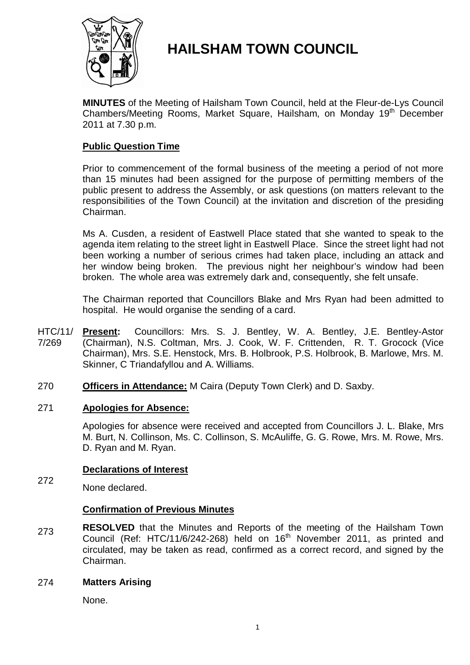

# **HAILSHAM TOWN COUNCIL**

**MINUTES** of the Meeting of Hailsham Town Council, held at the Fleur-de-Lys Council Chambers/Meeting Rooms, Market Square, Hailsham, on Monday 19<sup>th</sup> December 2011 at 7.30 p.m.

# **Public Question Time**

Prior to commencement of the formal business of the meeting a period of not more than 15 minutes had been assigned for the purpose of permitting members of the public present to address the Assembly, or ask questions (on matters relevant to the responsibilities of the Town Council) at the invitation and discretion of the presiding Chairman.

Ms A. Cusden, a resident of Eastwell Place stated that she wanted to speak to the agenda item relating to the street light in Eastwell Place. Since the street light had not been working a number of serious crimes had taken place, including an attack and her window being broken. The previous night her neighbour's window had been broken. The whole area was extremely dark and, consequently, she felt unsafe.

The Chairman reported that Councillors Blake and Mrs Ryan had been admitted to hospital. He would organise the sending of a card.

- HTC/11/ 7/269 **Present:** Councillors: Mrs. S. J. Bentley, W. A. Bentley, J.E. Bentley-Astor (Chairman), N.S. Coltman, Mrs. J. Cook, W. F. Crittenden, R. T. Grocock (Vice Chairman), Mrs. S.E. Henstock, Mrs. B. Holbrook, P.S. Holbrook, B. Marlowe, Mrs. M. Skinner, C Triandafyllou and A. Williams.
- 270 **Officers in Attendance:** M Caira (Deputy Town Clerk) and D. Saxby.

# 271 **Apologies for Absence:**

Apologies for absence were received and accepted from Councillors J. L. Blake, Mrs M. Burt, N. Collinson, Ms. C. Collinson, S. McAuliffe, G. G. Rowe, Mrs. M. Rowe, Mrs. D. Ryan and M. Ryan.

# **Declarations of Interest**

272 None declared.

# **Confirmation of Previous Minutes**

273 **RESOLVED** that the Minutes and Reports of the meeting of the Hailsham Town Council (Ref: HTC/11/6/242-268) held on  $16<sup>th</sup>$  November 2011, as printed and circulated, may be taken as read, confirmed as a correct record, and signed by the Chairman.

# 274 **Matters Arising**

None.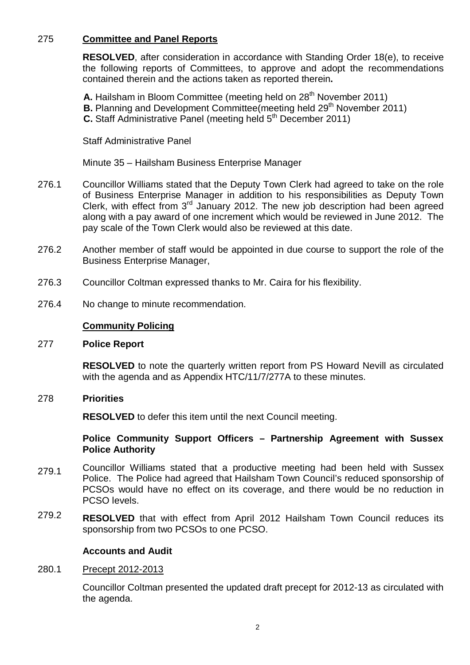# 275 **Committee and Panel Reports**

**RESOLVED**, after consideration in accordance with Standing Order 18(e), to receive the following reports of Committees, to approve and adopt the recommendations contained therein and the actions taken as reported therein**.**

A. Hailsham in Bloom Committee (meeting held on 28<sup>th</sup> November 2011) **B.** Planning and Development Committee (meeting held 29<sup>th</sup> November 2011) **C.** Staff Administrative Panel (meeting held 5<sup>th</sup> December 2011)

Staff Administrative Panel

Minute 35 – Hailsham Business Enterprise Manager

- 276.1 Councillor Williams stated that the Deputy Town Clerk had agreed to take on the role of Business Enterprise Manager in addition to his responsibilities as Deputy Town Clerk, with effect from  $3<sup>rd</sup>$  January 2012. The new job description had been agreed along with a pay award of one increment which would be reviewed in June 2012. The pay scale of the Town Clerk would also be reviewed at this date.
- 276.2 Another member of staff would be appointed in due course to support the role of the Business Enterprise Manager,
- 276.3 Councillor Coltman expressed thanks to Mr. Caira for his flexibility.
- 276.4 No change to minute recommendation.

# **Community Policing**

### 277 **Police Report**

**RESOLVED** to note the quarterly written report from PS Howard Nevill as circulated with the agenda and as Appendix HTC/11/7/277A to these minutes.

### 278 **Priorities**

**RESOLVED** to defer this item until the next Council meeting.

# **Police Community Support Officers – Partnership Agreement with Sussex Police Authority**

- 279.1 Councillor Williams stated that a productive meeting had been held with Sussex Police. The Police had agreed that Hailsham Town Council's reduced sponsorship of PCSOs would have no effect on its coverage, and there would be no reduction in PCSO levels.
- 279.2 **RESOLVED** that with effect from April 2012 Hailsham Town Council reduces its sponsorship from two PCSOs to one PCSO.

### **Accounts and Audit**

### 280.1 Precept 2012-2013

Councillor Coltman presented the updated draft precept for 2012-13 as circulated with the agenda.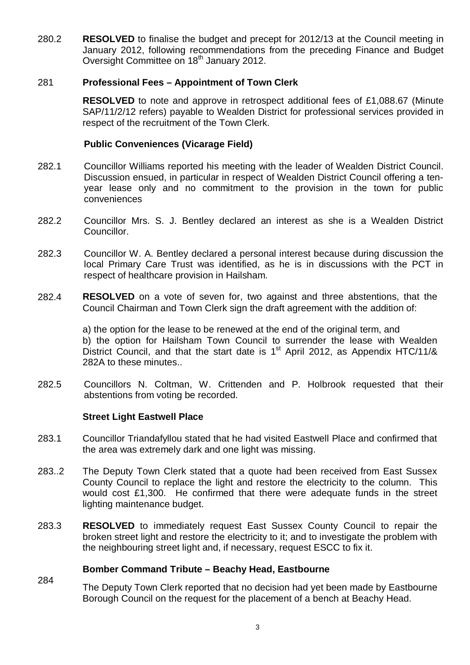280.2 **RESOLVED** to finalise the budget and precept for 2012/13 at the Council meeting in January 2012, following recommendations from the preceding Finance and Budget Oversight Committee on 18<sup>th</sup> January 2012.

# 281 **Professional Fees – Appointment of Town Clerk**

**RESOLVED** to note and approve in retrospect additional fees of £1,088.67 (Minute SAP/11/2/12 refers) payable to Wealden District for professional services provided in respect of the recruitment of the Town Clerk.

# **Public Conveniences (Vicarage Field)**

- 282.1 Councillor Williams reported his meeting with the leader of Wealden District Council. Discussion ensued, in particular in respect of Wealden District Council offering a tenyear lease only and no commitment to the provision in the town for public conveniences
- 282.2 Councillor Mrs. S. J. Bentley declared an interest as she is a Wealden District Councillor.
- 282.3 Councillor W. A. Bentley declared a personal interest because during discussion the local Primary Care Trust was identified, as he is in discussions with the PCT in respect of healthcare provision in Hailsham.
- 282.4 **RESOLVED** on a vote of seven for, two against and three abstentions, that the Council Chairman and Town Clerk sign the draft agreement with the addition of:

a) the option for the lease to be renewed at the end of the original term, and b) the option for Hailsham Town Council to surrender the lease with Wealden District Council, and that the start date is  $1<sup>st</sup>$  April 2012, as Appendix HTC/11/& 282A to these minutes..

282.5 Councillors N. Coltman, W. Crittenden and P. Holbrook requested that their abstentions from voting be recorded.

# **Street Light Eastwell Place**

- 283.1 Councillor Triandafyllou stated that he had visited Eastwell Place and confirmed that the area was extremely dark and one light was missing.
- 283..2 The Deputy Town Clerk stated that a quote had been received from East Sussex County Council to replace the light and restore the electricity to the column. This would cost £1,300. He confirmed that there were adequate funds in the street lighting maintenance budget.
- 283.3 **RESOLVED** to immediately request East Sussex County Council to repair the broken street light and restore the electricity to it; and to investigate the problem with the neighbouring street light and, if necessary, request ESCC to fix it.

# **Bomber Command Tribute – Beachy Head, Eastbourne**

284 The Deputy Town Clerk reported that no decision had yet been made by Eastbourne Borough Council on the request for the placement of a bench at Beachy Head.